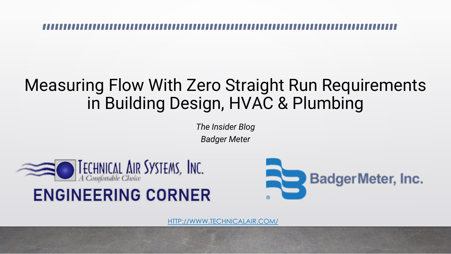### Measuring Flow With Zero Straight Run Requirements in Building Design, HVAC & Plumbing

*The Insider Blog Badger Meter* 



### **ENGINEERING CORNER**



[HTTP://WWW.TECHNICALAIR.COM/](http://www.technicalair.com/)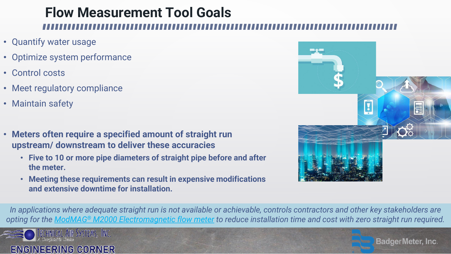# **Flow Measurement Tool Goals**

- Quantify water usage
- Optimize system performance
- Control costs
- Meet regulatory compliance
- Maintain safety
- **Meters often require a specified amount of straight run upstream/ downstream to deliver these accuracies**
	- **Five to 10 or more pipe diameters of straight pipe before and after the meter.**
	- **Meeting these requirements can result in expensive modifications and extensive downtime for installation.**



*In applications where adequate straight run is not available or achievable, controls contractors and other key stakeholders are [opting for the](http://www.technicalair.com/engineering-corner) ModMAG® [M2000 Electromagnetic flow meter](https://www.badgermeter.com/products/meters/electromagnetic-flow-meters/m2000-electromagnetic-flow-meter/) to reduce installation time and cost with zero straight run required.*



**BadgerMeter, Inc.**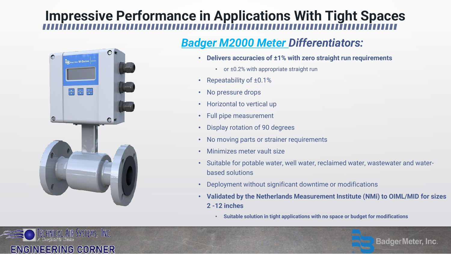## **Impressive Performance in Applications With Tight Spaces**



#### *[Badger M2000 Meter D](https://www.badgermeter.com/products/meters/electromagnetic-flow-meters/m2000-electromagnetic-flow-meter/)ifferentiators:*

- **Delivers accuracies of ±1% with zero straight run requirements**
	- or ±0.2% with appropriate straight run
- Repeatability of ±0.1%
- No pressure drops
- Horizontal to vertical up
- Full pipe measurement
- Display rotation of 90 degrees
- No moving parts or strainer requirements
- Minimizes meter vault size
- Suitable for potable water, well water, reclaimed water, wastewater and waterbased solutions
- Deployment without significant downtime or modifications
- **Validated by the Netherlands Measurement Institute (NMi) to OIML/MID for sizes 2 -12 inches**

**BadgerMeter, Inc.** 

• **Suitable solution in tight applications with no space or budget for modifications**

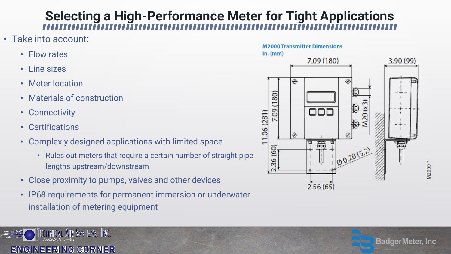## **Selecting a High-Performance Meter for Tight Applications**

- Take into account:
	- Flow rates
	- Line sizes
	- Meter location
	- Materials of construction
	- Connectivity
	- Certifications
	- Complexly designed applications with limited space
		- Rules out meters that require a certain number of straight pipe lengths upstream/downstream
	- Close proximity to pumps, valves and other devices
	- IP68 requirements for permanent immersion or underwater installation of metering equipment

#### TECHNICAL AIR SYSTEMS, INC. ENGINEERING CORNER





M2000-1

**BadgerMeter, Inc.**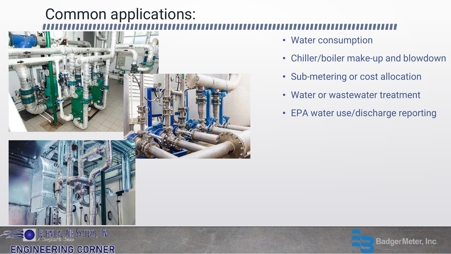# Common applications:







- Chiller/boiler make-up and blowdown
- Sub-metering or cost allocation
- Water or wastewater treatment
- EPA water use/discharge reporting